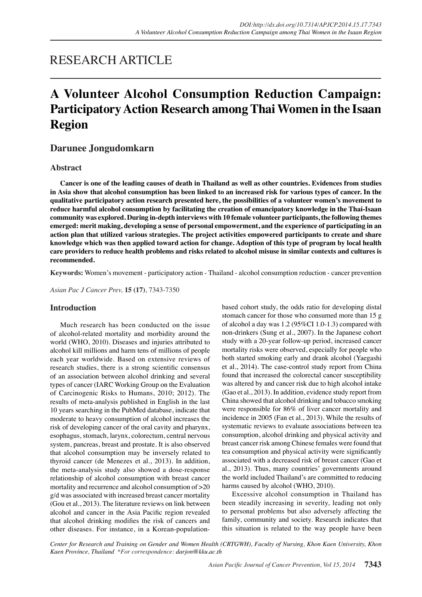# RESEARCH ARTICLE

# **A Volunteer Alcohol Consumption Reduction Campaign: Participatory Action Research among Thai Women in the Isaan Region**

# **Darunee Jongudomkarn**

# **Abstract**

**Cancer is one of the leading causes of death in Thailand as well as other countries. Evidences from studies in Asia show that alcohol consumption has been linked to an increased risk for various types of cancer. In the qualitative participatory action research presented here, the possibilities of a volunteer women's movement to reduce harmful alcohol consumption by facilitating the creation of emancipatory knowledge in the Thai-Isaan community was explored. During in-depth interviews with 10 female volunteer participants, the following themes emerged: merit making, developing a sense of personal empowerment, and the experience of participating in an action plan that utilized various strategies. The project activities empowered participants to create and share knowledge which was then applied toward action for change. Adoption of this type of program by local health care providers to reduce health problems and risks related to alcohol misuse in similar contexts and cultures is recommended.**

**Keywords:** Women's movement - participatory action - Thailand - alcohol consumption reduction - cancer prevention

*Asian Pac J Cancer Prev,* **15 (17)**, 7343-7350

# **Introduction**

Much research has been conducted on the issue of alcohol-related mortality and morbidity around the world (WHO, 2010). Diseases and injuries attributed to alcohol kill millions and harm tens of millions of people each year worldwide. Based on extensive reviews of research studies, there is a strong scientific consensus of an association between alcohol drinking and several types of cancer (IARC Working Group on the Evaluation of Carcinogenic Risks to Humans, 2010; 2012). The results of meta-analysis published in English in the last 10 years searching in the PubMed database, indicate that moderate to heavy consumption of alcohol increases the risk of developing cancer of the oral cavity and pharynx, esophagus, stomach, larynx, colorectum, central nervous system, pancreas, breast and prostate. It is also observed that alcohol consumption may be inversely related to thyroid cancer (de Menezes et al., 2013). In addition, the meta-analysis study also showed a dose-response relationship of alcohol consumption with breast cancer mortality and recurrence and alcohol consumption of >20 g/d was associated with increased breast cancer mortality (Gou et al., 2013). The literature reviews on link between alcohol and cancer in the Asia Pacific region revealed that alcohol drinking modifies the risk of cancers and other diseases. For instance, in a Korean-population-

based cohort study, the odds ratio for developing distal stomach cancer for those who consumed more than 15 g of alcohol a day was 1.2 (95%CI 1.0-1.3) compared with non-drinkers (Sung et al., 2007). In the Japanese cohort study with a 20-year follow-up period, increased cancer mortality risks were observed, especially for people who both started smoking early and drank alcohol (Yaegashi et al., 2014). The case-control study report from China found that increased the colorectal cancer susceptibility was altered by and cancer risk due to high alcohol intake (Gao et al., 2013). In addition, evidence study report from China showed that alcohol drinking and tobacco smoking were responsible for 86% of liver cancer mortality and incidence in 2005 (Fan et al., 2013). While the results of systematic reviews to evaluate associations between tea consumption, alcohol drinking and physical activity and breast cancer risk among Chinese females were found that tea consumption and physical activity were significantly associated with a decreased risk of breast cancer (Gao et al., 2013). Thus, many countries' governments around the world included Thailand's are committed to reducing harms caused by alcohol (WHO, 2010).

Excessive alcohol consumption in Thailand has been steadily increasing in severity, leading not only to personal problems but also adversely affecting the family, community and society. Research indicates that this situation is related to the way people have been

*Center for Research and Training on Gender and Women Health (CRTGWH), Faculty of Nursing, Khon Kaen University, Khon Kaen Province, Thailand \*For correspondence: darjon@kku.ac.th*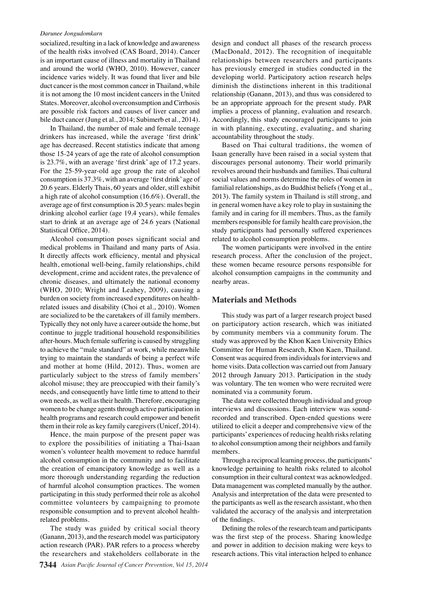socialized, resulting in a lack of knowledge and awareness of the health risks involved (CAS Board, 2014). Cancer is an important cause of illness and mortality in Thailand and around the world (WHO, 2010). However, cancer incidence varies widely. It was found that liver and bile duct cancer is the most common cancer in Thailand, while it is not among the 10 most incident cancers in the United States. Moreover, alcohol overconsumption and Cirrhosis are possible risk factors and causes of liver cancer and bile duct cancer (Jung et al., 2014; Subimerb et al., 2014).

In Thailand, the number of male and female teenage drinkers has increased, while the average 'first drink' age has decreased. Recent statistics indicate that among those 15-24 years of age the rate of alcohol consumption is 23.7%, with an average 'first drink' age of 17.2 years. For the 25-59-year-old age group the rate of alcohol consumption is 37.3%, with an average 'first drink' age of 20.6 years. Elderly Thais, 60 years and older, still exhibit a high rate of alcohol consumption (16.6%). Overall, the average age of first consumption is 20.5 years: males begin drinking alcohol earlier (age 19.4 years), while females start to drink at an average age of 24.6 years (National Statistical Office, 2014).

Alcohol consumption poses significant social and medical problems in Thailand and many parts of Asia. It directly affects work efficiency, mental and physical health, emotional well-being, family relationships, child development, crime and accident rates, the prevalence of chronic diseases, and ultimately the national economy (WHO, 2010; Wright and Leahey, 2009), causing a burden on society from increased expenditures on healthrelated issues and disability (Choi et al., 2010). Women are socialized to be the caretakers of ill family members. Typically they not only have a career outside the home, but continue to juggle traditional household responsibilities after-hours. Much female suffering is caused by struggling to achieve the "male standard" at work, while meanwhile trying to maintain the standards of being a perfect wife and mother at home (Hild, 2012). Thus, women are particularly subject to the stress of family members' alcohol misuse; they are preoccupied with their family's needs, and consequently have little time to attend to their own needs, as well as their health. Therefore, encouraging women to be change agents through active participation in health programs and research could empower and benefit them in their role as key family caregivers (Unicef, 2014).

Hence, the main purpose of the present paper was to explore the possibilities of initiating a Thai-Isaan women's volunteer health movement to reduce harmful alcohol consumption in the community and to facilitate the creation of emancipatory knowledge as well as a more thorough understanding regarding the reduction of harmful alcohol consumption practices. The women participating in this study performed their role as alcohol committee volunteers by campaigning to promote responsible consumption and to prevent alcohol healthrelated problems.

The study was guided by critical social theory (Ganann, 2013), and the research model was participatory action research (PAR). PAR refers to a process whereby the researchers and stakeholders collaborate in the

design and conduct all phases of the research process (MacDonald, 2012). The recognition of inequitable relationships between researchers and participants has previously emerged in studies conducted in the developing world. Participatory action research helps diminish the distinctions inherent in this traditional relationship (Ganann, 2013), and thus was considered to be an appropriate approach for the present study. PAR implies a process of planning, evaluation and research. Accordingly, this study encouraged participants to join in with planning, executing, evaluating, and sharing accountability throughout the study.

Based on Thai cultural traditions, the women of Isaan generally have been raised in a social system that discourages personal autonomy. Their world primarily revolves around their husbands and families. Thai cultural social values and norms determine the roles of women in familial relationships, as do Buddhist beliefs (Yong et al., 2013). The family system in Thailand is still strong, and in general women have a key role to play in sustaining the family and in caring for ill members. Thus, as the family members responsible for family health care provision, the study participants had personally suffered experiences related to alcohol consumption problems.

The women participants were involved in the entire research process. After the conclusion of the project, these women became resource persons responsible for alcohol consumption campaigns in the community and nearby areas.

### **Materials and Methods**

This study was part of a larger research project based on participatory action research, which was initiated by community members via a community forum. The study was approved by the Khon Kaen University Ethics Committee for Human Research, Khon Kaen, Thailand. Consent was acquired from individuals for interviews and home visits. Data collection was carried out from January 2012 through January 2013. Participation in the study was voluntary. The ten women who were recruited were nominated via a community forum.

The data were collected through individual and group interviews and discussions. Each interview was soundrecorded and transcribed. Open-ended questions were utilized to elicit a deeper and comprehensive view of the participants' experiences of reducing health risks relating to alcohol consumption among their neighbors and family members.

Through a reciprocal learning process, the participants' knowledge pertaining to health risks related to alcohol consumption in their cultural context was acknowledged. Data management was completed manually by the author. Analysis and interpretation of the data were presented to the participants as well as the research assistant, who then validated the accuracy of the analysis and interpretation of the findings.

Defining the roles of the research team and participants was the first step of the process. Sharing knowledge and power in addition to decision making were keys to research actions. This vital interaction helped to enhance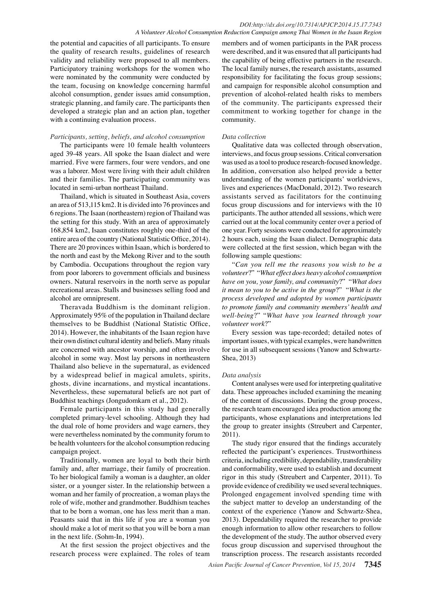the potential and capacities of all participants. To ensure the quality of research results, guidelines of research validity and reliability were proposed to all members. Participatory training workshops for the women who were nominated by the community were conducted by the team, focusing on knowledge concerning harmful alcohol consumption, gender issues amid consumption, strategic planning, and family care. The participants then developed a strategic plan and an action plan, together with a continuing evaluation process.

## *Participants, setting, beliefs, and alcohol consumption*

The participants were 10 female health volunteers aged 39-48 years. All spoke the Isaan dialect and were married. Five were farmers, four were vendors, and one was a laborer. Most were living with their adult children and their families. The participating community was located in semi-urban northeast Thailand.

Thailand, which is situated in Southeast Asia, covers an area of 513,115 km2. It is divided into 76 provinces and 6 regions. The Isaan (northeastern) region of Thailand was the setting for this study. With an area of approximately 168,854 km2, Isaan constitutes roughly one-third of the entire area of the country (National Statistic Office, 2014). There are 20 provinces within Isaan, which is bordered to the north and east by the Mekong River and to the south by Cambodia. Occupations throughout the region vary from poor laborers to government officials and business owners. Natural reservoirs in the north serve as popular recreational areas. Stalls and businesses selling food and alcohol are omnipresent.

Theravada Buddhism is the dominant religion. Approximately 95% of the population in Thailand declare themselves to be Buddhist (National Statistic Office, 2014). However, the inhabitants of the Isaan region have their own distinct cultural identity and beliefs. Many rituals are concerned with ancestor worship, and often involve alcohol in some way. Most lay persons in northeastern Thailand also believe in the supernatural, as evidenced by a widespread belief in magical amulets, spirits, ghosts, divine incarnations, and mystical incantations. Nevertheless, these supernatural beliefs are not part of Buddhist teachings (Jongudomkarn et al., 2012).

Female participants in this study had generally completed primary-level schooling. Although they had the dual role of home providers and wage earners, they were nevertheless nominated by the community forum to be health volunteers for the alcohol consumption reducing campaign project.

Traditionally, women are loyal to both their birth family and, after marriage, their family of procreation. To her biological family a woman is a daughter, an older sister, or a younger sister. In the relationship between a woman and her family of procreation, a woman plays the role of wife, mother and grandmother. Buddhism teaches that to be born a woman, one has less merit than a man. Peasants said that in this life if you are a woman you should make a lot of merit so that you will be born a man in the next life. (Sohm-In, 1994).

At the first session the project objectives and the research process were explained. The roles of team

members and of women participants in the PAR process were described, and it was ensured that all participants had the capability of being effective partners in the research. The local family nurses, the research assistants, assumed responsibility for facilitating the focus group sessions; and campaign for responsible alcohol consumption and prevention of alcohol-related health risks to members of the community. The participants expressed their commitment to working together for change in the community.

# *Data collection*

Qualitative data was collected through observation, interviews, and focus group sessions. Critical conversation was used as a tool to produce research-focused knowledge. In addition, conversation also helped provide a better understanding of the women participants' worldviews, lives and experiences (MacDonald, 2012). Two research assistants served as facilitators for the continuing focus group discussions and for interviews with the 10 participants. The author attended all sessions, which were carried out at the local community center over a period of one year. Forty sessions were conducted for approximately 2 hours each, using the Isaan dialect. Demographic data were collected at the first session, which began with the following sample questions:

"*Can you tell me the reasons you wish to be a volunteer*?" "*What effect does heavy alcohol consumption have on you, your family, and community*?" "*What does it mean to you to be active in the group*?" "*What is the process developed and adopted by women participants to promote family and community members' health and well-being*?" "*What have you learned through your volunteer work*?"

Every session was tape-recorded; detailed notes of important issues, with typical examples, were handwritten for use in all subsequent sessions (Yanow and Schwartz-Shea, 2013)

# *Data analysis*

Content analyses were used for interpreting qualitative data. These approaches included examining the meaning of the content of discussions. During the group process, the research team encouraged idea production among the participants, whose explanations and interpretations led the group to greater insights (Streubert and Carpenter, 2011).

The study rigor ensured that the findings accurately reflected the participant's experiences. Trustworthiness criteria, including credibility, dependability, transferability and conformability, were used to establish and document rigor in this study (Streubert and Carpenter, 2011). To provide evidence of credibility we used several techniques. Prolonged engagement involved spending time with the subject matter to develop an understanding of the context of the experience (Yanow and Schwartz-Shea, 2013). Dependability required the researcher to provide enough information to allow other researchers to follow the development of the study. The author observed every focus group discussion and supervised throughout the transcription process. The research assistants recorded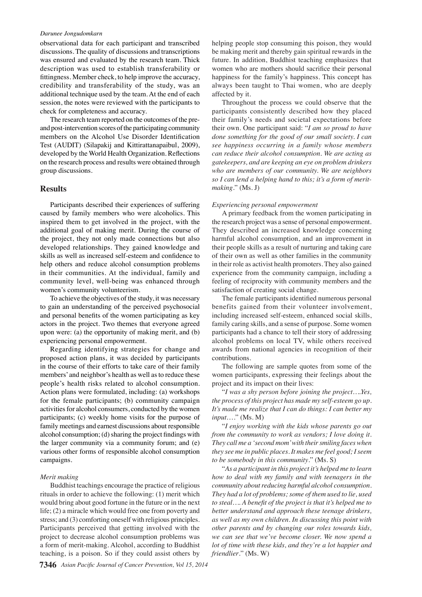observational data for each participant and transcribed discussions. The quality of discussions and transcriptions was ensured and evaluated by the research team. Thick description was used to establish transferability or fittingness. Member check, to help improve the accuracy, credibility and transferability of the study, was an additional technique used by the team. At the end of each session, the notes were reviewed with the participants to check for completeness and accuracy.

The research team reported on the outcomes of the preand post-intervention scores of the participating community members on the Alcohol Use Disorder Identification Test (AUDIT) (Silapakij and Kittirattanapaibul, 2009), developed by the World Health Organization. Reflections on the research process and results were obtained through group discussions.

## **Results**

Participants described their experiences of suffering caused by family members who were alcoholics. This inspired them to get involved in the project, with the additional goal of making merit. During the course of the project, they not only made connections but also developed relationships. They gained knowledge and skills as well as increased self-esteem and confidence to help others and reduce alcohol consumption problems in their communities. At the individual, family and community level, well-being was enhanced through women's community volunteerism.

To achieve the objectives of the study, it was necessary to gain an understanding of the perceived psychosocial and personal benefits of the women participating as key actors in the project. Two themes that everyone agreed upon were: (a) the opportunity of making merit, and (b) experiencing personal empowerment.

Regarding identifying strategies for change and proposed action plans, it was decided by participants in the course of their efforts to take care of their family members' and neighbor's health as well as to reduce these people's health risks related to alcohol consumption. Action plans were formulated, including: (a) workshops for the female participants; (b) community campaign activities for alcohol consumers, conducted by the women participants; (c) weekly home visits for the purpose of family meetings and earnest discussions about responsible alcohol consumption; (d) sharing the project findings with the larger community via a community forum; and (e) various other forms of responsible alcohol consumption campaigns.

#### *Merit making*

Buddhist teachings encourage the practice of religious rituals in order to achieve the following: (1) merit which would bring about good fortune in the future or in the next life; (2) a miracle which would free one from poverty and stress; and (3) comforting oneself with religious principles. Participants perceived that getting involved with the project to decrease alcohol consumption problems was a form of merit-making. Alcohol, according to Buddhist teaching, is a poison. So if they could assist others by

helping people stop consuming this poison, they would be making merit and thereby gain spiritual rewards in the future. In addition, Buddhist teaching emphasizes that women who are mothers should sacrifice their personal happiness for the family's happiness. This concept has always been taught to Thai women, who are deeply affected by it.

Throughout the process we could observe that the participants consistently described how they placed their family's needs and societal expectations before their own. One participant said: "*I am so proud to have done something for the good of our small society. I can see happiness occurring in a family whose members can reduce their alcohol consumption. We are acting as gatekeepers, and are keeping an eye on problem drinkers who are members of our community. We are neighbors so I can lend a helping hand to this; it's a form of meritmaking*." (Ms. J)

#### *Experiencing personal empowerment*

A primary feedback from the women participating in the research project was a sense of personal empowerment. They described an increased knowledge concerning harmful alcohol consumption, and an improvement in their people skills as a result of nurturing and taking care of their own as well as other families in the community in their role as activist health promoters. They also gained experience from the community campaign, including a feeling of reciprocity with community members and the satisfaction of creating social change.

The female participants identified numerous personal benefits gained from their volunteer involvement, including increased self-esteem, enhanced social skills, family caring skills, and a sense of purpose. Some women participants had a chance to tell their story of addressing alcohol problems on local TV, while others received awards from national agencies in recognition of their contributions.

The following are sample quotes from some of the women participants, expressing their feelings about the project and its impact on their lives:

"*I was a shy person before joining the project….Yes, the process of this project has made my self-esteem go up. It's made me realize that I can do things: I can better my input*…." (Ms. M)

"*I enjoy working with the kids whose parents go out from the community to work as vendors; I love doing it. They call me a 'second mom' with their smiling faces when they see me in public places. It makes me feel good; I seem to be somebody in this community*." (Ms. S)

"*As a participant in this project it's helped me to learn how to deal with my family and with teenagers in the community about reducing harmful alcohol consumption. They had a lot of problems; some of them used to lie, used to steal…. A benefit of the project is that it's helped me to better understand and approach these teenage drinkers, as well as my own children. In discussing this point with other parents and by changing our roles towards kids, we can see that we've become closer. We now spend a lot of time with these kids, and they're a lot happier and friendlier*." (Ms. W)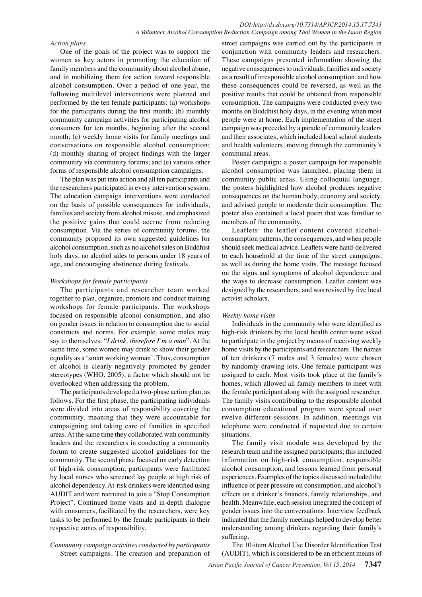## *DOI:http://dx.doi.org/10.7314/APJCP.2014.15.17.7343 A Volunteer Alcohol Consumption Reduction Campaign among Thai Women in the Isaan Region*

#### *Action plans*

One of the goals of the project was to support the women as key actors in promoting the education of family members and the community about alcohol abuse, and in mobilizing them for action toward responsible alcohol consumption. Over a period of one year, the following multilevel interventions were planned and performed by the ten female participants: (a) workshops for the participants during the first month; (b) monthly community campaign activities for participating alcohol consumers for ten months, beginning after the second month; (c) weekly home visits for family meetings and conversations on responsible alcohol consumption; (d) monthly sharing of project findings with the larger community via community forums; and (e) various other forms of responsible alcohol consumption campaigns.

The plan was put into action and all ten participants and the researchers participated in every intervention session. The education campaign interventions were conducted on the basis of possible consequences for individuals, families and society from alcohol misuse, and emphasized the positive gains that could accrue from reducing consumption. Via the series of community forums, the community proposed its own suggested guidelines for alcohol consumption, such as no alcohol sales on Buddhist holy days, no alcohol sales to persons under 18 years of age, and encouraging abstinence during festivals.

#### *Workshops for female participants*

The participants and researcher team worked together to plan, organize, promote and conduct training workshops for female participants. The workshops focused on responsible alcohol consumption, and also on gender issues in relation to consumption due to social constructs and norms. For example, some males may say to themselves: "*I drink, therefore I'm a man*". At the same time, some women may drink to show their gender equality as a 'smart working woman'. Thus, consumption of alcohol is clearly negatively promoted by gender stereotypes (WHO, 2005), a factor which should not be overlooked when addressing the problem.

The participants developed a two-phase action plan, as follows. For the first phase, the participating individuals were divided into areas of responsibility covering the community, meaning that they were accountable for campaigning and taking care of families in specified areas. At the same time they collaborated with community leaders and the researchers in conducting a community forum to create suggested alcohol guidelines for the community. The second phase focused on early detection of high-risk consumption; participants were facilitated by local nurses who screened lay people at high risk of alcohol dependency. At-risk drinkers were identified using AUDIT and were recruited to join a "Stop Consumption Project". Continued home visits and in-depth dialogue with consumers, facilitated by the researchers, were key tasks to be performed by the female participants in their respective zones of responsibility.

## *Community campaign activities conducted by participants* Street campaigns. The creation and preparation of

street campaigns was carried out by the participants in conjunction with community leaders and researchers. These campaigns presented information showing the negative consequences to individuals, families and society as a result of irresponsible alcohol consumption, and how these consequences could be reversed, as well as the positive results that could be obtained from responsible consumption. The campaigns were conducted every two months on Buddhist holy days, in the evening when most people were at home. Each implementation of the street campaign was preceded by a parade of community leaders and their associates, which included local school students and health volunteers, moving through the community's communal areas.

Poster campaign: a poster campaign for responsible alcohol consumption was launched, placing them in community public areas. Using colloquial language, the posters highlighted how alcohol produces negative consequences on the human body, economy and society, and advised people to moderate their consumption. The poster also contained a local poem that was familiar to members of the community.

Leaflets: the leaflet content covered alcoholconsumption patterns, the consequences, and when people should seek medical advice. Leaflets were hand-delivered to each household at the time of the street campaigns, as well as during the home visits. The message focused on the signs and symptoms of alcohol dependence and the ways to decrease consumption. Leaflet content was designed by the researchers, and was revised by five local activist scholars.

#### *Weekly home visits*

Individuals in the community who were identified as high-risk drinkers by the local health center were asked to participate in the project by means of receiving weekly home visits by the participants and researchers. The names of ten drinkers (7 males and 3 females) were chosen by randomly drawing lots. One female participant was assigned to each. Most visits took place at the family's homes, which allowed all family members to meet with the female participant along with the assigned researcher. The family visits contributing to the responsible alcohol consumption educational program were spread over twelve different sessions. In addition, meetings via telephone were conducted if requested due to certain situations.

The family visit module was developed by the research team and the assigned participants; this included information on high-risk consumption, responsible alcohol consumption, and lessons learned from personal experiences. Examples of the topics discussed included the influence of peer pressure on consumption, and alcohol's effects on a drinker's finances, family relationships, and health. Meanwhile, each session integrated the concept of gender issues into the conversations. Interview feedback indicated that the family meetings helped to develop better understanding among drinkers regarding their family's suffering.

The 10-item Alcohol Use Disorder Identification Test (AUDIT), which is considered to be an efficient means of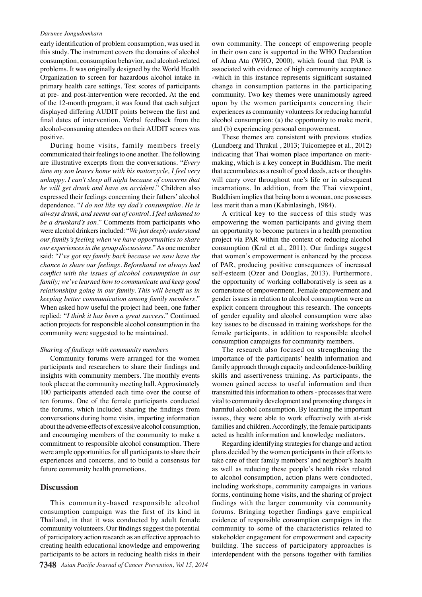early identification of problem consumption, was used in this study. The instrument covers the domains of alcohol consumption, consumption behavior, and alcohol-related problems. It was originally designed by the World Health Organization to screen for hazardous alcohol intake in primary health care settings. Test scores of participants at pre- and post-intervention were recorded. At the end of the 12-month program, it was found that each subject displayed differing AUDIT points between the first and final dates of intervention. Verbal feedback from the alcohol-consuming attendees on their AUDIT scores was positive.

During home visits, family members freely communicated their feelings to one another. The following are illustrative excerpts from the conversations. "*Every time my son leaves home with his motorcycle, I feel very unhappy. I can't sleep all night because of concerns that he will get drunk and have an accident*." Children also expressed their feelings concerning their fathers' alcohol dependence. "*I do not like my dad's consumption. He is always drunk, and seems out of control. I feel ashamed to be a drunkard's son*." Comments from participants who were alcohol drinkers included: "*We just deeply understand our family's feeling when we have opportunities to share our experiences in the group discussions*." As one member said: "*I've got my family back because we now have the chance to share our feelings. Beforehand we always had conflict with the issues of alcohol consumption in our family; we've learned how to communicate and keep good relationships going in our family. This will benefit us in keeping better communication among family members*." When asked how useful the project had been, one father replied: "*I think it has been a great success*." Continued action projects for responsible alcohol consumption in the community were suggested to be maintained.

### *Sharing of findings with community members*

Community forums were arranged for the women participants and researchers to share their findings and insights with community members. The monthly events took place at the community meeting hall. Approximately 100 participants attended each time over the course of ten forums. One of the female participants conducted the forums, which included sharing the findings from conversations during home visits, imparting information about the adverse effects of excessive alcohol consumption, and encouraging members of the community to make a commitment to responsible alcohol consumption. There were ample opportunities for all participants to share their experiences and concerns, and to build a consensus for future community health promotions.

# **Discussion**

This community-based responsible alcohol consumption campaign was the first of its kind in Thailand, in that it was conducted by adult female community volunteers. Our findings suggest the potential of participatory action research as an effective approach to creating health educational knowledge and empowering participants to be actors in reducing health risks in their own community. The concept of empowering people in their own care is supported in the WHO Declaration of Alma Ata (WHO, 2000), which found that PAR is associated with evidence of high community acceptance -which in this instance represents significant sustained change in consumption patterns in the participating community. Two key themes were unanimously agreed upon by the women participants concerning their experiences as community volunteers for reducing harmful alcohol consumption: (a) the opportunity to make merit, and (b) experiencing personal empowerment.

These themes are consistent with previous studies (Lundberg and Thrakul , 2013; Tuicomepee et al., 2012) indicating that Thai women place importance on meritmaking, which is a key concept in Buddhism. The merit that accumulates as a result of good deeds, acts or thoughts will carry over throughout one's life or in subsequent incarnations. In addition, from the Thai viewpoint, Buddhism implies that being born a woman, one possesses less merit than a man (Kabinlasingh, 1984).

A critical key to the success of this study was empowering the women participants and giving them an opportunity to become partners in a health promotion project via PAR within the context of reducing alcohol consumption (Kral et al., 2011). Our findings suggest that women's empowerment is enhanced by the process of PAR, producing positive consequences of increased self-esteem (Ozer and Douglas, 2013). Furthermore, the opportunity of working collaboratively is seen as a cornerstone of empowerment. Female empowerment and gender issues in relation to alcohol consumption were an explicit concern throughout this research. The concepts of gender equality and alcohol consumption were also key issues to be discussed in training workshops for the female participants, in addition to responsible alcohol consumption campaigns for community members.

The research also focused on strengthening the importance of the participants' health information and family approach through capacity and confidence-building skills and assertiveness training. As participants, the women gained access to useful information and then transmitted this information to others - processes that were vital to community development and promoting changes in harmful alcohol consumption. By learning the important issues, they were able to work effectively with at-risk families and children. Accordingly, the female participants acted as health information and knowledge mediators.

Regarding identifying strategies for change and action plans decided by the women participants in their efforts to take care of their family members' and neighbor's health as well as reducing these people's health risks related to alcohol consumption, action plans were conducted, including workshops, community campaigns in various forms, continuing home visits, and the sharing of project findings with the larger community via community forums. Bringing together findings gave empirical evidence of responsible consumption campaigns in the community to some of the characteristics related to stakeholder engagement for empowerment and capacity building. The success of participatory approaches is interdependent with the persons together with families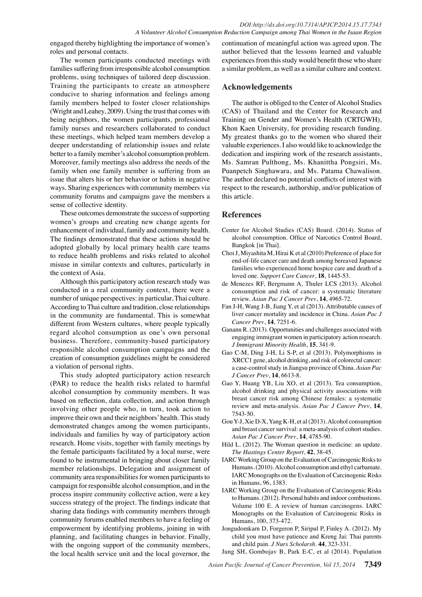engaged thereby highlighting the importance of women's roles and personal contacts.

The women participants conducted meetings with families suffering from irresponsible alcohol consumption problems, using techniques of tailored deep discussion. Training the participants to create an atmosphere conducive to sharing information and feelings among family members helped to foster closer relationships (Wright and Leahey, 2009). Using the trust that comes with being neighbors, the women participants, professional family nurses and researchers collaborated to conduct these meetings, which helped team members develop a deeper understanding of relationship issues and relate better to a family member's alcohol consumption problem. Moreover, family meetings also address the needs of the family when one family member is suffering from an issue that alters his or her behavior or habits in negative ways. Sharing experiences with community members via community forums and campaigns gave the members a sense of collective identity.

These outcomes demonstrate the success of supporting women's groups and creating new change agents for enhancement of individual, family and community health. The findings demonstrated that these actions should be adopted globally by local primary health care teams to reduce health problems and risks related to alcohol misuse in similar contexts and cultures, particularly in the context of Asia.

Although this participatory action research study was conducted in a real community context, there were a number of unique perspectives: in particular, Thai culture. According to Thai culture and tradition, close relationships in the community are fundamental. This is somewhat different from Western cultures, where people typically regard alcohol consumption as one's own personal business. Therefore, community-based participatory responsible alcohol consumption campaigns and the creation of consumption guidelines might be considered a violation of personal rights.

This study adopted participatory action research (PAR) to reduce the health risks related to harmful alcohol consumption by community members. It was based on reflection, data collection, and action through involving other people who, in turn, took action to improve their own and their neighbors' health. This study demonstrated changes among the women participants, individuals and families by way of participatory action research. Home visits, together with family meetings by the female participants facilitated by a local nurse, were found to be instrumental in bringing about closer family member relationships. Delegation and assignment of community area responsibilities for women participants to campaign for responsible alcohol consumption, and in the process inspire community collective action, were a key success strategy of the project. The findings indicate that sharing data findings with community members through community forums enabled members to have a feeling of empowerment by identifying problems, joining in with planning, and facilitating changes in behavior. Finally, with the ongoing support of the community members, the local health service unit and the local governor, the

continuation of meaningful action was agreed upon. The author believed that the lessons learned and valuable experiences from this study would benefit those who share a similar problem, as well as a similar culture and context.

# **Acknowledgements**

The author is obliged to the Center of Alcohol Studies (CAS) of Thailand and the Center for Research and Training on Gender and Women's Health (CRTGWH), Khon Kaen University, for providing research funding. My greatest thanks go to the women who shared their valuable experiences. I also would like to acknowledge the dedication and inspiring work of the research assistants, Ms. Samran Pulthong, Ms. Khanittha Pongsiri, Ms. Puanpetch Singhawara, and Ms. Patama Chawalison. The author declared no potential conflicts of interest with respect to the research, authorship, and/or publication of this article.

# **References**

- Center for Alcohol Studies (CAS) Board. (2014). Status of alcohol consumption. Office of Narcotics Control Board, Bangkok [in Thai].
- Choi J, Miyashita M, Hirai K et al (2010) Preference of place for end-of-life cancer care and death among bereaved Japanese families who experienced home hospice care and death of a loved one. *Support Care Cancer*, **18**, 1445-53.
- de Menezes RF, Bergmann A, Thuler LCS (2013). Alcohol consumption and risk of cancer: a systematic literature review. *Asian Pac J Cancer Prev*, **14**, 4965-72.
- Fan J-H, Wang J-B, Jiang Y, et al (2013). Attributable causes of liver cancer mortality and incidence in China. *Asian Pac J Cancer Prev*, **14**, 7251-6.
- Ganann R. (2013). Opportunities and challenges associated with engaging immigrant women in participatory action research. *J Immigrant Minority Health*, **15**, 341-9.
- Gao C-M, Ding J-H, Li S-P, et al (2013). Polymorphisms in XRCC1 gene, alcohol drinking, and risk of colorectal cancer: a case-control study in Jiangsu province of China. *Asian Pac J Cancer Prev*, **14**, 6613-8.
- Gao Y, Huang YB, Liu XO, et al (2013). Tea consumption, alcohol drinking and physical activity associations with breast cancer risk among Chinese females: a systematic review and meta-analysis. *Asian Pac J Cancer Prev*, **14**, 7543-50.
- Gou Y-J, Xie D-X, Yang K-H, et al (2013). Alcohol consumption and breast cancer survival: a meta-analysis of cohort studies. *Asian Pac J Cancer Prev*, **14**, 4785-90.
- Hild L. (2012). The Woman question in medicine: an update. *The Hastings Center Report*, **42**, 38-45.
- IARC Working Group on the Evaluation of Carcinogenic Risks to Humans. (2010). Alcohol consumption and ethyl carbamate. IARC Monographs on the Evaluation of Carcinogenic Risks in Humans, 96, 1383.
- IARC Working Group on the Evaluation of Carcinogenic Risks to Humans. (2012). Personal habits and indoor combustions. Volume 100 E. A review of human carcinogens. IARC Monographs on the Evaluation of Carcinogenic Risks in Humans, 100, 373-472.
- Jongudomkarn D, Forgeron P, Siripul P, Finley A. (2012). My child you must have patience and Kreng Jai: Thai parents and child pain. *J Nurs Scholarsh*. **44**, 323-331.
- Jung SH, Gombojav B, Park E-C, et al (2014). Population